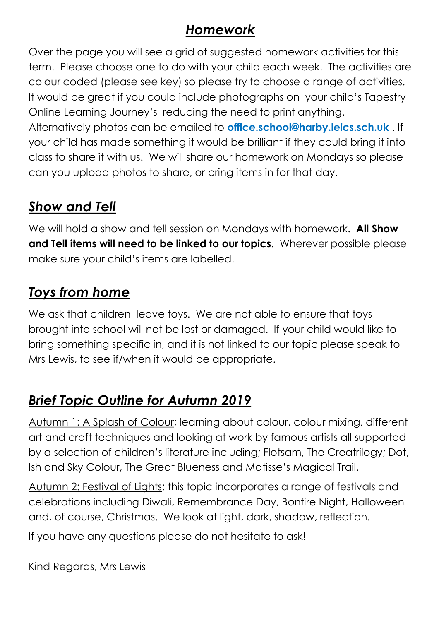## *Homework*

Over the page you will see a grid of suggested homework activities for this term. Please choose one to do with your child each week. The activities are colour coded (please see key) so please try to choose a range of activities. It would be great if you could include photographs on your child's Tapestry Online Learning Journey's reducing the need to print anything.

Alternatively photos can be emailed to **office.school@harby.leics.sch.uk** . If your child has made something it would be brilliant if they could bring it into class to share it with us. We will share our homework on Mondays so please can you upload photos to share, or bring items in for that day.

## *Show and Tell*

We will hold a show and tell session on Mondays with homework. **All Show and Tell items will need to be linked to our topics**. Wherever possible please make sure your child's items are labelled.

## *Toys from home*

We ask that children leave toys. We are not able to ensure that toys brought into school will not be lost or damaged. If your child would like to bring something specific in, and it is not linked to our topic please speak to Mrs Lewis, to see if/when it would be appropriate.

## *Brief Topic Outline for Autumn 2019*

Autumn 1: A Splash of Colour; learning about colour, colour mixing, different art and craft techniques and looking at work by famous artists all supported by a selection of children's literature including; Flotsam, The Creatrilogy; Dot, Ish and Sky Colour, The Great Blueness and Matisse's Magical Trail.

Autumn 2: Festival of Lights; this topic incorporates a range of festivals and celebrations including Diwali, Remembrance Day, Bonfire Night, Halloween and, of course, Christmas. We look at light, dark, shadow, reflection.

If you have any questions please do not hesitate to ask!

Kind Regards, Mrs Lewis